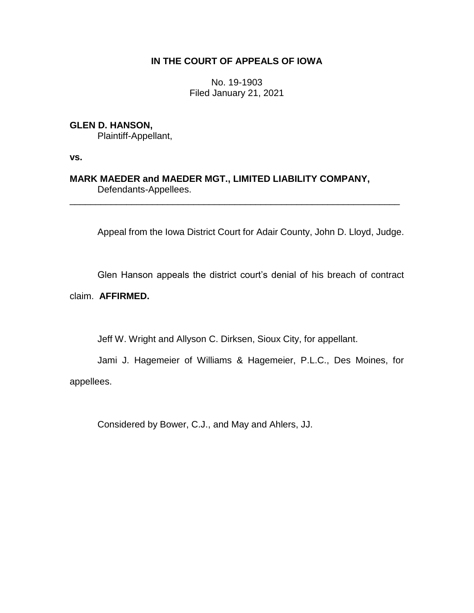# **IN THE COURT OF APPEALS OF IOWA**

No. 19-1903 Filed January 21, 2021

**GLEN D. HANSON,** Plaintiff-Appellant,

**vs.**

**MARK MAEDER and MAEDER MGT., LIMITED LIABILITY COMPANY,** Defendants-Appellees.

\_\_\_\_\_\_\_\_\_\_\_\_\_\_\_\_\_\_\_\_\_\_\_\_\_\_\_\_\_\_\_\_\_\_\_\_\_\_\_\_\_\_\_\_\_\_\_\_\_\_\_\_\_\_\_\_\_\_\_\_\_\_\_\_

Appeal from the Iowa District Court for Adair County, John D. Lloyd, Judge.

Glen Hanson appeals the district court's denial of his breach of contract

claim. **AFFIRMED.**

Jeff W. Wright and Allyson C. Dirksen, Sioux City, for appellant.

Jami J. Hagemeier of Williams & Hagemeier, P.L.C., Des Moines, for appellees.

Considered by Bower, C.J., and May and Ahlers, JJ.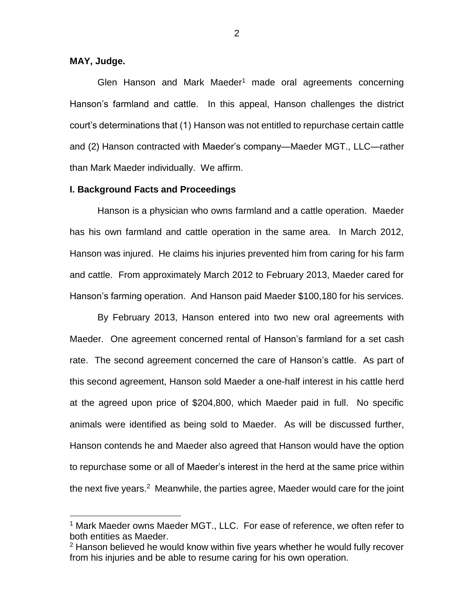## **MAY, Judge.**

 $\overline{a}$ 

Glen Hanson and Mark Maeder<sup>1</sup> made oral agreements concerning Hanson's farmland and cattle. In this appeal, Hanson challenges the district court's determinations that (1) Hanson was not entitled to repurchase certain cattle and (2) Hanson contracted with Maeder's company—Maeder MGT., LLC—rather than Mark Maeder individually. We affirm.

### **I. Background Facts and Proceedings**

Hanson is a physician who owns farmland and a cattle operation. Maeder has his own farmland and cattle operation in the same area. In March 2012, Hanson was injured. He claims his injuries prevented him from caring for his farm and cattle. From approximately March 2012 to February 2013, Maeder cared for Hanson's farming operation. And Hanson paid Maeder \$100,180 for his services.

By February 2013, Hanson entered into two new oral agreements with Maeder. One agreement concerned rental of Hanson's farmland for a set cash rate. The second agreement concerned the care of Hanson's cattle. As part of this second agreement, Hanson sold Maeder a one-half interest in his cattle herd at the agreed upon price of \$204,800, which Maeder paid in full. No specific animals were identified as being sold to Maeder. As will be discussed further, Hanson contends he and Maeder also agreed that Hanson would have the option to repurchase some or all of Maeder's interest in the herd at the same price within the next five years.<sup>2</sup> Meanwhile, the parties agree, Maeder would care for the joint

<sup>&</sup>lt;sup>1</sup> Mark Maeder owns Maeder MGT., LLC. For ease of reference, we often refer to both entities as Maeder.

 $2$  Hanson believed he would know within five years whether he would fully recover from his injuries and be able to resume caring for his own operation.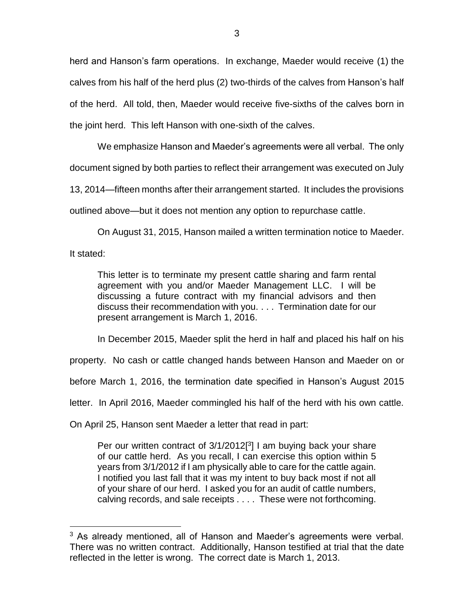herd and Hanson's farm operations. In exchange, Maeder would receive (1) the calves from his half of the herd plus (2) two-thirds of the calves from Hanson's half of the herd. All told, then, Maeder would receive five-sixths of the calves born in the joint herd. This left Hanson with one-sixth of the calves.

We emphasize Hanson and Maeder's agreements were all verbal. The only document signed by both parties to reflect their arrangement was executed on July 13, 2014—fifteen months after their arrangement started. It includes the provisions

outlined above—but it does not mention any option to repurchase cattle.

On August 31, 2015, Hanson mailed a written termination notice to Maeder.

It stated:

 $\overline{a}$ 

This letter is to terminate my present cattle sharing and farm rental agreement with you and/or Maeder Management LLC. I will be discussing a future contract with my financial advisors and then discuss their recommendation with you. . . . Termination date for our present arrangement is March 1, 2016.

In December 2015, Maeder split the herd in half and placed his half on his

property. No cash or cattle changed hands between Hanson and Maeder on or

before March 1, 2016, the termination date specified in Hanson's August 2015

letter. In April 2016, Maeder commingled his half of the herd with his own cattle.

On April 25, Hanson sent Maeder a letter that read in part:

Per our written contract of  $3/1/2012[3]$  I am buying back your share of our cattle herd. As you recall, I can exercise this option within 5 years from 3/1/2012 if I am physically able to care for the cattle again. I notified you last fall that it was my intent to buy back most if not all of your share of our herd. I asked you for an audit of cattle numbers, calving records, and sale receipts . . . . These were not forthcoming.

 $3$  As already mentioned, all of Hanson and Maeder's agreements were verbal. There was no written contract. Additionally, Hanson testified at trial that the date reflected in the letter is wrong. The correct date is March 1, 2013.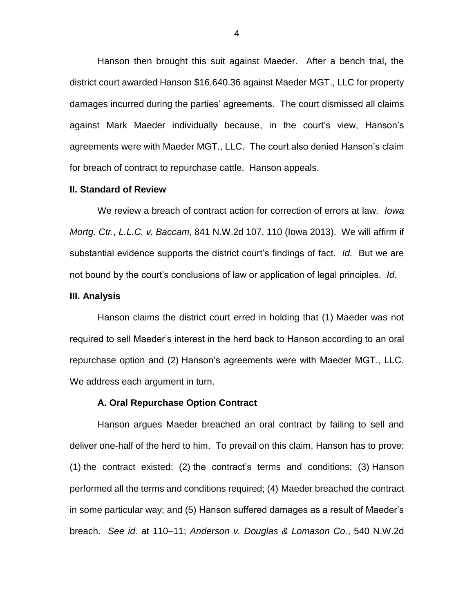Hanson then brought this suit against Maeder. After a bench trial, the district court awarded Hanson \$16,640.36 against Maeder MGT., LLC for property damages incurred during the parties' agreements. The court dismissed all claims against Mark Maeder individually because, in the court's view, Hanson's agreements were with Maeder MGT., LLC. The court also denied Hanson's claim for breach of contract to repurchase cattle. Hanson appeals.

#### **II. Standard of Review**

We review a breach of contract action for correction of errors at law. *Iowa Mortg. Ctr., L.L.C. v. Baccam*, 841 N.W.2d 107, 110 (Iowa 2013). We will affirm if substantial evidence supports the district court's findings of fact. *Id.* But we are not bound by the court's conclusions of law or application of legal principles. *Id.*

#### **III. Analysis**

Hanson claims the district court erred in holding that (1) Maeder was not required to sell Maeder's interest in the herd back to Hanson according to an oral repurchase option and (2) Hanson's agreements were with Maeder MGT., LLC. We address each argument in turn.

## **A. Oral Repurchase Option Contract**

Hanson argues Maeder breached an oral contract by failing to sell and deliver one-half of the herd to him. To prevail on this claim, Hanson has to prove: (1) the contract existed; (2) the contract's terms and conditions; (3) Hanson performed all the terms and conditions required; (4) Maeder breached the contract in some particular way; and (5) Hanson suffered damages as a result of Maeder's breach. *See id.* at 110–11; *Anderson v. Douglas & Lomason Co.*, 540 N.W.2d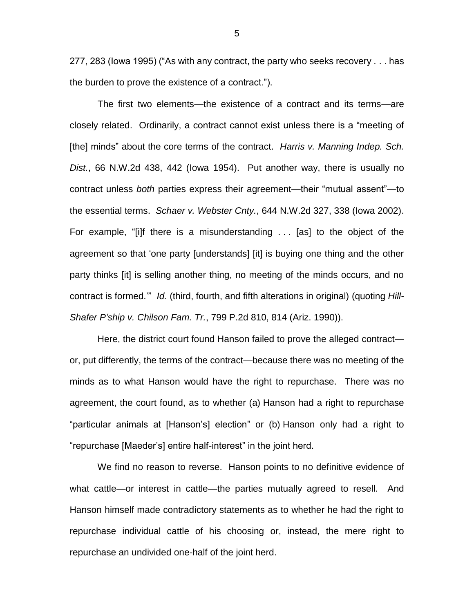277, 283 (Iowa 1995) ("As with any contract, the party who seeks recovery . . . has the burden to prove the existence of a contract.").

The first two elements—the existence of a contract and its terms—are closely related. Ordinarily, a contract cannot exist unless there is a "meeting of [the] minds" about the core terms of the contract. *Harris v. Manning Indep. Sch. Dist.*, 66 N.W.2d 438, 442 (Iowa 1954). Put another way, there is usually no contract unless *both* parties express their agreement—their "mutual assent"—to the essential terms. *Schaer v. Webster Cnty.*, 644 N.W.2d 327, 338 (Iowa 2002). For example, "[i]f there is a misunderstanding . . . [as] to the object of the agreement so that 'one party [understands] [it] is buying one thing and the other party thinks [it] is selling another thing, no meeting of the minds occurs, and no contract is formed.'" *Id.* (third, fourth, and fifth alterations in original) (quoting *Hill-Shafer P'ship v. Chilson Fam. Tr.*, 799 P.2d 810, 814 (Ariz. 1990)).

Here, the district court found Hanson failed to prove the alleged contract or, put differently, the terms of the contract—because there was no meeting of the minds as to what Hanson would have the right to repurchase. There was no agreement, the court found, as to whether (a) Hanson had a right to repurchase "particular animals at [Hanson's] election" or (b) Hanson only had a right to "repurchase [Maeder's] entire half-interest" in the joint herd.

We find no reason to reverse. Hanson points to no definitive evidence of what cattle—or interest in cattle—the parties mutually agreed to resell. And Hanson himself made contradictory statements as to whether he had the right to repurchase individual cattle of his choosing or, instead, the mere right to repurchase an undivided one-half of the joint herd.

5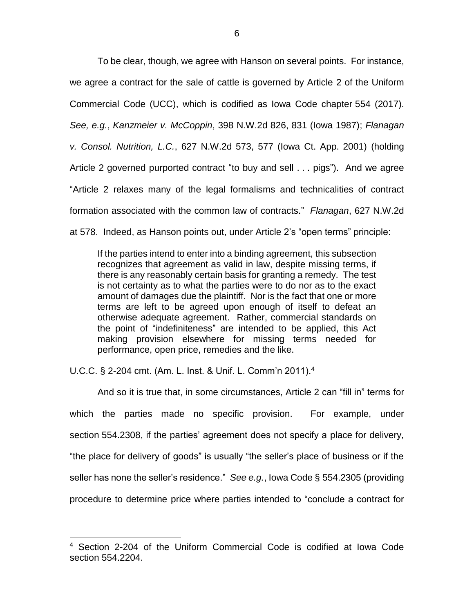To be clear, though, we agree with Hanson on several points. For instance, we agree a contract for the sale of cattle is governed by Article 2 of the Uniform Commercial Code (UCC), which is codified as Iowa Code chapter 554 (2017). *See, e.g.*, *Kanzmeier v. McCoppin*, 398 N.W.2d 826, 831 (Iowa 1987); *Flanagan v. Consol. Nutrition, L.C.*, 627 N.W.2d 573, 577 (Iowa Ct. App. 2001) (holding Article 2 governed purported contract "to buy and sell . . . pigs"). And we agree "Article 2 relaxes many of the legal formalisms and technicalities of contract formation associated with the common law of contracts." *Flanagan*, 627 N.W.2d at 578. Indeed, as Hanson points out, under Article 2's "open terms" principle:

If the parties intend to enter into a binding agreement, this subsection recognizes that agreement as valid in law, despite missing terms, if there is any reasonably certain basis for granting a remedy. The test is not certainty as to what the parties were to do nor as to the exact amount of damages due the plaintiff. Nor is the fact that one or more terms are left to be agreed upon enough of itself to defeat an otherwise adequate agreement. Rather, commercial standards on the point of "indefiniteness" are intended to be applied, this Act making provision elsewhere for missing terms needed for performance, open price, remedies and the like.

U.C.C. § 2-204 cmt. (Am. L. Inst. & Unif. L. Comm'n 2011).<sup>4</sup>

 $\overline{a}$ 

And so it is true that, in some circumstances, Article 2 can "fill in" terms for which the parties made no specific provision. For example, under section 554.2308, if the parties' agreement does not specify a place for delivery, "the place for delivery of goods" is usually "the seller's place of business or if the seller has none the seller's residence." *See e.g.*, Iowa Code § 554.2305 (providing procedure to determine price where parties intended to "conclude a contract for

<sup>4</sup> Section 2-204 of the Uniform Commercial Code is codified at Iowa Code section 554.2204.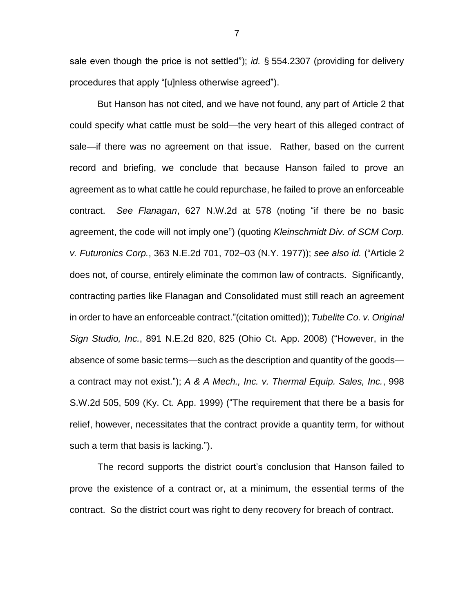sale even though the price is not settled"); *id.* § 554.2307 (providing for delivery procedures that apply "[u]nless otherwise agreed").

But Hanson has not cited, and we have not found, any part of Article 2 that could specify what cattle must be sold—the very heart of this alleged contract of sale—if there was no agreement on that issue. Rather, based on the current record and briefing, we conclude that because Hanson failed to prove an agreement as to what cattle he could repurchase, he failed to prove an enforceable contract. *See Flanagan*, 627 N.W.2d at 578 (noting "if there be no basic agreement, the code will not imply one") (quoting *Kleinschmidt Div. of SCM Corp. v. Futuronics Corp.*, 363 N.E.2d 701, 702–03 (N.Y. 1977)); *see also id.* ("Article 2 does not, of course, entirely eliminate the common law of contracts. Significantly, contracting parties like Flanagan and Consolidated must still reach an agreement in order to have an enforceable contract."(citation omitted)); *Tubelite Co. v. Original Sign Studio, Inc.*, 891 N.E.2d 820, 825 (Ohio Ct. App. 2008) ("However, in the absence of some basic terms—such as the description and quantity of the goods a contract may not exist."); *A & A Mech., Inc. v. Thermal Equip. Sales, Inc.*, 998 S.W.2d 505, 509 (Ky. Ct. App. 1999) ("The requirement that there be a basis for relief, however, necessitates that the contract provide a quantity term, for without such a term that basis is lacking.").

The record supports the district court's conclusion that Hanson failed to prove the existence of a contract or, at a minimum, the essential terms of the contract. So the district court was right to deny recovery for breach of contract.

7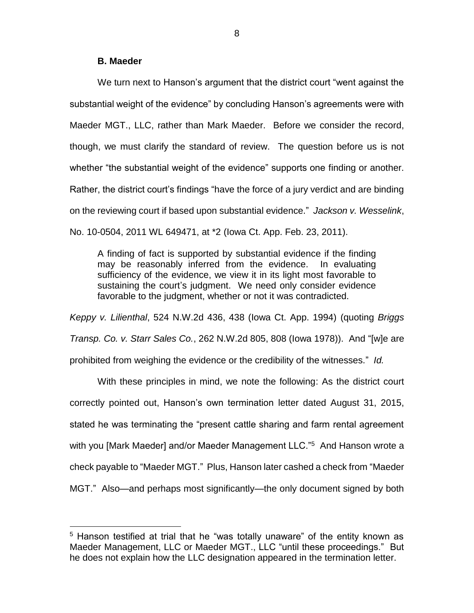# **B. Maeder**

 $\overline{a}$ 

We turn next to Hanson's argument that the district court "went against the substantial weight of the evidence" by concluding Hanson's agreements were with Maeder MGT., LLC, rather than Mark Maeder. Before we consider the record, though, we must clarify the standard of review. The question before us is not whether "the substantial weight of the evidence" supports one finding or another. Rather, the district court's findings "have the force of a jury verdict and are binding on the reviewing court if based upon substantial evidence." *Jackson v. Wesselink*, No. 10-0504, 2011 WL 649471, at \*2 (Iowa Ct. App. Feb. 23, 2011).

A finding of fact is supported by substantial evidence if the finding may be reasonably inferred from the evidence. In evaluating sufficiency of the evidence, we view it in its light most favorable to sustaining the court's judgment. We need only consider evidence favorable to the judgment, whether or not it was contradicted.

*Keppy v. Lilienthal*, 524 N.W.2d 436, 438 (Iowa Ct. App. 1994) (quoting *Briggs Transp. Co. v. Starr Sales Co.*, 262 N.W.2d 805, 808 (Iowa 1978)). And "[w]e are prohibited from weighing the evidence or the credibility of the witnesses." *Id.*

With these principles in mind, we note the following: As the district court correctly pointed out, Hanson's own termination letter dated August 31, 2015, stated he was terminating the "present cattle sharing and farm rental agreement with you [Mark Maeder] and/or Maeder Management LLC."<sup>5</sup> And Hanson wrote a check payable to "Maeder MGT." Plus, Hanson later cashed a check from "Maeder MGT." Also—and perhaps most significantly—the only document signed by both

<sup>&</sup>lt;sup>5</sup> Hanson testified at trial that he "was totally unaware" of the entity known as Maeder Management, LLC or Maeder MGT., LLC "until these proceedings." But he does not explain how the LLC designation appeared in the termination letter.